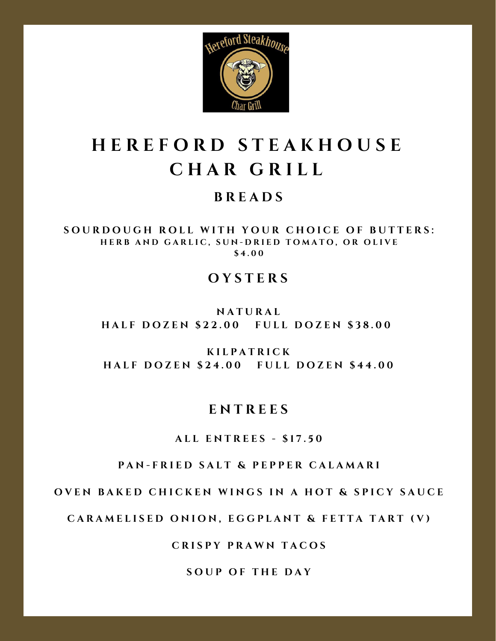

#### **B R E A D S**

SOURDOUGH ROLL WITH YOUR CHOICE OF BUTTERS: HERB AND GARLIC, SUN-DRIED TOMATO, OR OLIVE **\$ 4 . 0 0**

#### **O Y S T E R S**

**N A T U R A L** HALF DOZEN \$22.00 FULL DOZEN \$38.00

**K I L P A T R I C K** HALF DOZEN \$24.00 FULL DOZEN \$44.00

#### **E N T R E E S**

**A L L E N T R E E S - \$ 1 7 . 5 0**

PAN-FRIED SALT & PEPPER CALAMARI

OVEN BAKED CHICKEN WINGS IN A HOT & SPICY SAUCE

CARAMELISED ONION, EGGPLANT & FETTA TART (V)

**C R I S P Y P R A W N T A C O S**

**S O U P O F T H E D A Y**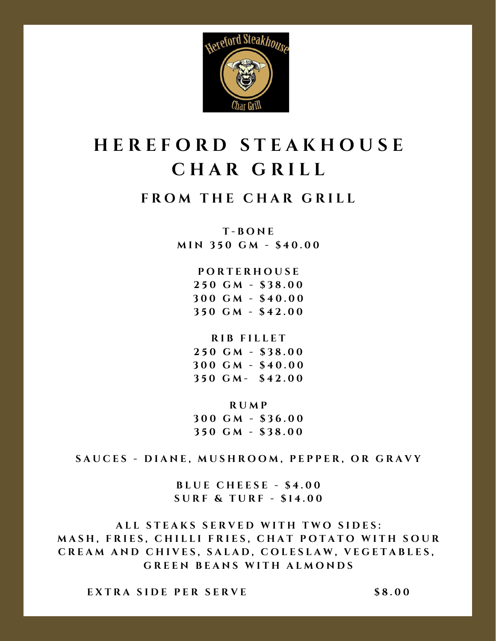

#### **F R O M T H E C H A R G R I L L**

**T - B O N E M I N 3 5 0 G M - \$ 4 0 . 0 0**

> **P O R T E R H O U S E 5 0 G M - \$ 3 8 . 0 0 0 0 G M - \$ 4 0 . 0 0 5 0 G M - \$ 4 2 . 0 0**

> > **R I B F I L L E T**

**2 5 0 G M - \$ 3 8 . 0 0 3 0 0 G M - \$ 4 0 . 0 0 3 5 0 G M - \$ 4 2 . 0 0**

**R U M P 3 0 0 G M - \$ 3 6 . 0 0 3 5 0 G M - \$ 3 8 . 0 0**

SAUCES - DIANE, MUSHROOM, PEPPER, OR GRAVY

**B L U E C H E E S E - \$ 4 . 0 0 S U R F & T U R F - \$ 1 4 . 0 0**

ALL STEAKS SERVED WITH TWO SIDES: MASH, FRIES, CHILLI FRIES, CHAT POTATO WITH SOUR CREAM AND CHIVES, SALAD, COLESLAW, VEGETABLES,  $G$  **REEN BEANS WITH ALMONDS** 

**E X T R A S I D E P E R S E R V E \$ 8 . 0 0**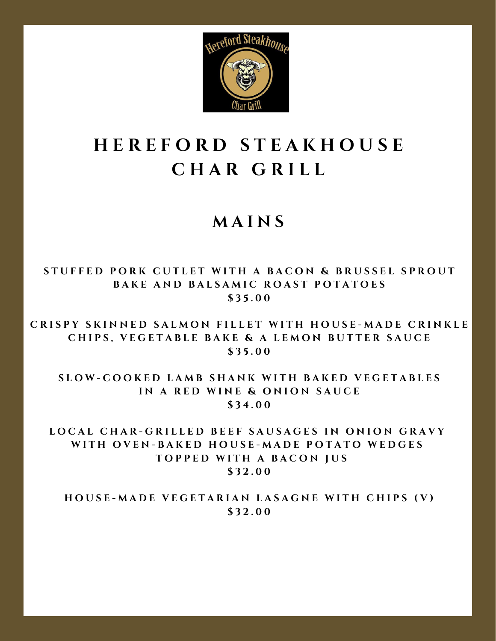

### **M A I N S**

STUFFED PORK CUTLET WITH A BACON & BRUSSEL SPROUT **BAKE AND BALSAMIC ROAST POTATOES \$ 3 5 . 0 0**

CRISPY SKINNED SALMON FILLET WITH HOUSE-MADE CRINKLE CHIPS, VEGETABLE BAKE & A LEMON BUTTER SAUCE **\$ 3 5 . 0 0**

SLOW-COOKED LAMB SHANK WITH BAKED VEGETABLES **I N A R E D W I N E & O N I O N S A U C E \$ 3 4 . 0 0**

LOCAL CHAR-GRILLED BEEF SAUSAGES IN ONION GRAVY WITH OVEN-BAKED HOUSE-MADE POTATO WEDGES **T O P P E D W I T H A B A C O N J U S \$ 3 2 . 0 0**

HOUSE-MADE VEGETARIAN LASAGNE WITH CHIPS (V) **\$ 3 2 . 0 0**